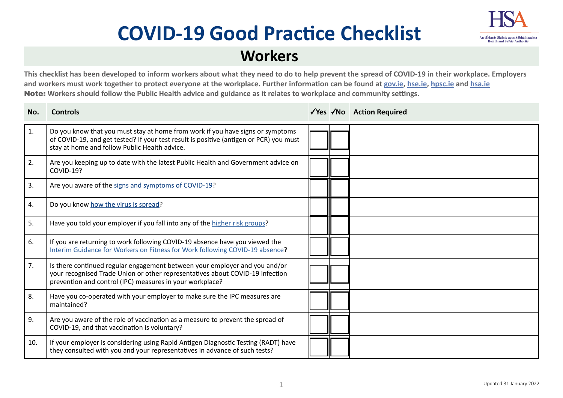# **COVID-19 Good Practice Checklist**



## **Workers**

**This checklist has been developed to inform workers about what they need to do to help prevent the spread of COVID-19 in their workplace. Employers and workers must work together to protect everyone at the workplace. Further information can be found at g[ov.ie](https://www.gov.ie/en/campaigns/c36c85-covid-19-coronavirus/), [hse.ie](https://www.hse.ie/eng/), [hpsc.ie](https://www.hpsc.ie) and [hsa.ie](https://www.hsa.ie/eng/)**  Note: **Workers should follow the Public Health advice and guidance as it relates to workplace and community settings.** 

| No. | <b>Controls</b>                                                                                                                                                                                                           |  | √Yes √No Action Required |
|-----|---------------------------------------------------------------------------------------------------------------------------------------------------------------------------------------------------------------------------|--|--------------------------|
| 1.  | Do you know that you must stay at home from work if you have signs or symptoms<br>of COVID-19, and get tested? If your test result is positive (antigen or PCR) you must<br>stay at home and follow Public Health advice. |  |                          |
| 2.  | Are you keeping up to date with the latest Public Health and Government advice on<br><b>COVID-19?</b>                                                                                                                     |  |                          |
| 3.  | Are you aware of the signs and symptoms of COVID-19?                                                                                                                                                                      |  |                          |
| 4.  | Do you know how the virus is spread?                                                                                                                                                                                      |  |                          |
| 5.  | Have you told your employer if you fall into any of the higher risk groups?                                                                                                                                               |  |                          |
| 6.  | If you are returning to work following COVID-19 absence have you viewed the<br>Interim Guidance for Workers on Fitness for Work following COVID-19 absence?                                                               |  |                          |
| 7.  | Is there continued regular engagement between your employer and you and/or<br>your recognised Trade Union or other representatives about COVID-19 infection<br>prevention and control (IPC) measures in your workplace?   |  |                          |
| 8.  | Have you co-operated with your employer to make sure the IPC measures are<br>maintained?                                                                                                                                  |  |                          |
| 9.  | Are you aware of the role of vaccination as a measure to prevent the spread of<br>COVID-19, and that vaccination is voluntary?                                                                                            |  |                          |
| 10. | If your employer is considering using Rapid Antigen Diagnostic Testing (RADT) have<br>they consulted with you and your representatives in advance of such tests?                                                          |  |                          |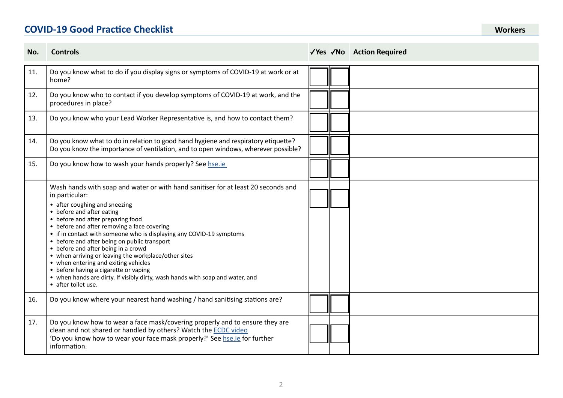### **COVID-19 Good Practice Checklist Workers**

| No. | <b>Controls</b>                                                                                                                                                                                                                                                                                                                                                                                                                                                                                                                                                                                                                                                       |  | √Yes √No Action Required |
|-----|-----------------------------------------------------------------------------------------------------------------------------------------------------------------------------------------------------------------------------------------------------------------------------------------------------------------------------------------------------------------------------------------------------------------------------------------------------------------------------------------------------------------------------------------------------------------------------------------------------------------------------------------------------------------------|--|--------------------------|
| 11. | Do you know what to do if you display signs or symptoms of COVID-19 at work or at<br>home?                                                                                                                                                                                                                                                                                                                                                                                                                                                                                                                                                                            |  |                          |
| 12. | Do you know who to contact if you develop symptoms of COVID-19 at work, and the<br>procedures in place?                                                                                                                                                                                                                                                                                                                                                                                                                                                                                                                                                               |  |                          |
| 13. | Do you know who your Lead Worker Representative is, and how to contact them?                                                                                                                                                                                                                                                                                                                                                                                                                                                                                                                                                                                          |  |                          |
| 14. | Do you know what to do in relation to good hand hygiene and respiratory etiquette?<br>Do you know the importance of ventilation, and to open windows, wherever possible?                                                                                                                                                                                                                                                                                                                                                                                                                                                                                              |  |                          |
| 15. | Do you know how to wash your hands properly? See hse.ie                                                                                                                                                                                                                                                                                                                                                                                                                                                                                                                                                                                                               |  |                          |
|     | Wash hands with soap and water or with hand sanitiser for at least 20 seconds and<br>in particular:<br>• after coughing and sneezing<br>• before and after eating<br>• before and after preparing food<br>• before and after removing a face covering<br>• if in contact with someone who is displaying any COVID-19 symptoms<br>• before and after being on public transport<br>• before and after being in a crowd<br>• when arriving or leaving the workplace/other sites<br>• when entering and exiting vehicles<br>• before having a cigarette or vaping<br>• when hands are dirty. If visibly dirty, wash hands with soap and water, and<br>• after toilet use. |  |                          |
| 16. | Do you know where your nearest hand washing / hand sanitising stations are?                                                                                                                                                                                                                                                                                                                                                                                                                                                                                                                                                                                           |  |                          |
| 17. | Do you know how to wear a face mask/covering properly and to ensure they are<br>clean and not shared or handled by others? Watch the ECDC video<br>'Do you know how to wear your face mask properly?' See hse.ie for further<br>information.                                                                                                                                                                                                                                                                                                                                                                                                                          |  |                          |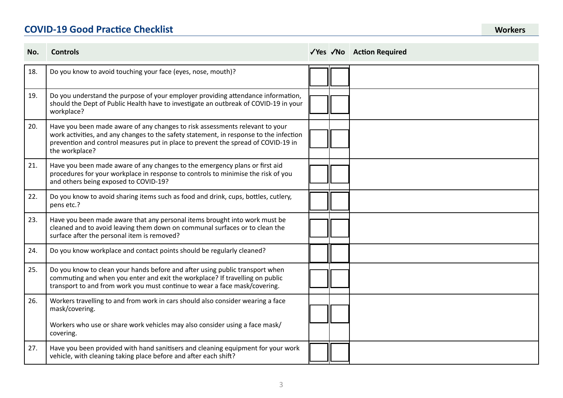### **COVID-19 Good Practice Checklist**

| No. | <b>Controls</b>                                                                                                                                                                                                                                                               |  | √Yes √No Action Required |
|-----|-------------------------------------------------------------------------------------------------------------------------------------------------------------------------------------------------------------------------------------------------------------------------------|--|--------------------------|
| 18. | Do you know to avoid touching your face (eyes, nose, mouth)?                                                                                                                                                                                                                  |  |                          |
| 19. | Do you understand the purpose of your employer providing attendance information,<br>should the Dept of Public Health have to investigate an outbreak of COVID-19 in your<br>workplace?                                                                                        |  |                          |
| 20. | Have you been made aware of any changes to risk assessments relevant to your<br>work activities, and any changes to the safety statement, in response to the infection<br>prevention and control measures put in place to prevent the spread of COVID-19 in<br>the workplace? |  |                          |
| 21. | Have you been made aware of any changes to the emergency plans or first aid<br>procedures for your workplace in response to controls to minimise the risk of you<br>and others being exposed to COVID-19?                                                                     |  |                          |
| 22. | Do you know to avoid sharing items such as food and drink, cups, bottles, cutlery,<br>pens etc.?                                                                                                                                                                              |  |                          |
| 23. | Have you been made aware that any personal items brought into work must be<br>cleaned and to avoid leaving them down on communal surfaces or to clean the<br>surface after the personal item is removed?                                                                      |  |                          |
| 24. | Do you know workplace and contact points should be regularly cleaned?                                                                                                                                                                                                         |  |                          |
| 25. | Do you know to clean your hands before and after using public transport when<br>commuting and when you enter and exit the workplace? If travelling on public<br>transport to and from work you must continue to wear a face mask/covering.                                    |  |                          |
| 26. | Workers travelling to and from work in cars should also consider wearing a face<br>mask/covering.                                                                                                                                                                             |  |                          |
|     | Workers who use or share work vehicles may also consider using a face mask/<br>covering.                                                                                                                                                                                      |  |                          |
| 27. | Have you been provided with hand sanitisers and cleaning equipment for your work<br>vehicle, with cleaning taking place before and after each shift?                                                                                                                          |  |                          |